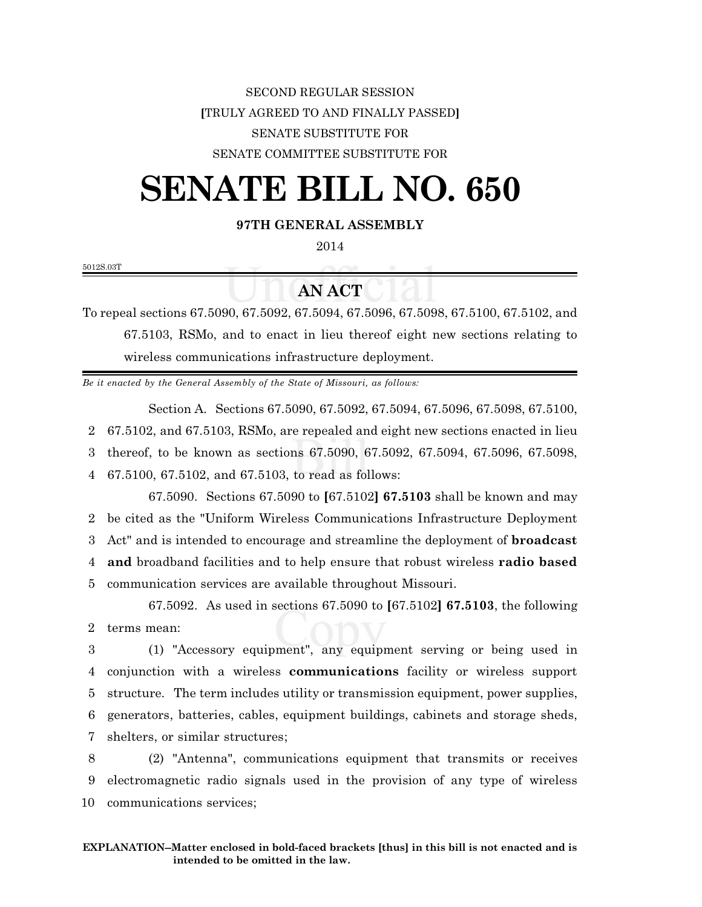## SECOND REGULAR SESSION **[**TRULY AGREED TO AND FINALLY PASSED**]** SENATE SUBSTITUTE FOR SENATE COMMITTEE SUBSTITUTE FOR

## **SENATE BILL NO. 650**

## **97TH GENERAL ASSEMBLY**

2014

5012S.03T

## **AN ACT**

To repeal sections 67.5090, 67.5092, 67.5094, 67.5096, 67.5098, 67.5100, 67.5102, and 67.5103, RSMo, and to enact in lieu thereof eight new sections relating to wireless communications infrastructure deployment.

*Be it enacted by the General Assembly of the State of Missouri, as follows:*

Section A. Sections 67.5090, 67.5092, 67.5094, 67.5096, 67.5098, 67.5100,

2 67.5102, and 67.5103, RSMo, are repealed and eight new sections enacted in lieu

3 thereof, to be known as sections 67.5090, 67.5092, 67.5094, 67.5096, 67.5098,

4 67.5100, 67.5102, and 67.5103, to read as follows:

67.5090. Sections 67.5090 to **[**67.5102**] 67.5103** shall be known and may be cited as the "Uniform Wireless Communications Infrastructure Deployment Act" and is intended to encourage and streamline the deployment of **broadcast and** broadband facilities and to help ensure that robust wireless **radio based** communication services are available throughout Missouri.

67.5092. As used in sections 67.5090 to **[**67.5102**] 67.5103**, the following 2 terms mean:

 (1) "Accessory equipment", any equipment serving or being used in conjunction with a wireless **communications** facility or wireless support structure. The term includes utility or transmission equipment, power supplies, generators, batteries, cables, equipment buildings, cabinets and storage sheds, shelters, or similar structures;

8 (2) "Antenna", communications equipment that transmits or receives 9 electromagnetic radio signals used in the provision of any type of wireless 10 communications services;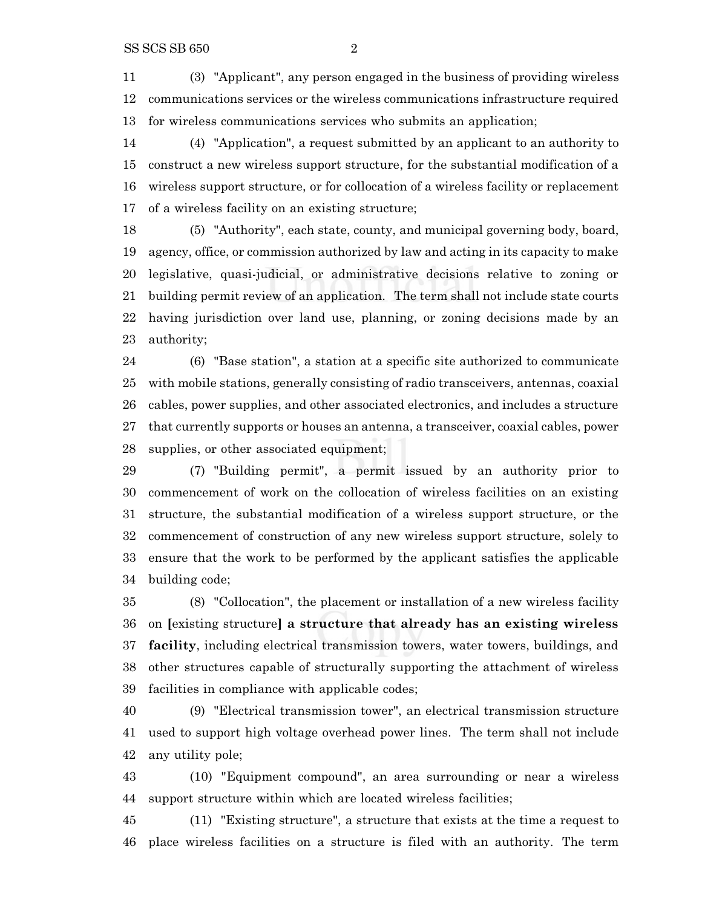(3) "Applicant", any person engaged in the business of providing wireless communications services or the wireless communications infrastructure required for wireless communications services who submits an application;

 (4) "Application", a request submitted by an applicant to an authority to construct a new wireless support structure, for the substantial modification of a wireless support structure, or for collocation of a wireless facility or replacement of a wireless facility on an existing structure;

 (5) "Authority", each state, county, and municipal governing body, board, agency, office, or commission authorized by law and acting in its capacity to make legislative, quasi-judicial, or administrative decisions relative to zoning or building permit review of an application. The term shall not include state courts having jurisdiction over land use, planning, or zoning decisions made by an authority;

 (6) "Base station", a station at a specific site authorized to communicate with mobile stations, generally consisting of radio transceivers, antennas, coaxial cables, power supplies, and other associated electronics, and includes a structure that currently supports or houses an antenna, a transceiver, coaxial cables, power supplies, or other associated equipment;

 (7) "Building permit", a permit issued by an authority prior to commencement of work on the collocation of wireless facilities on an existing structure, the substantial modification of a wireless support structure, or the commencement of construction of any new wireless support structure, solely to ensure that the work to be performed by the applicant satisfies the applicable building code;

 (8) "Collocation", the placement or installation of a new wireless facility on **[**existing structure**] a structure that already has an existing wireless facility**, including electrical transmission towers, water towers, buildings, and other structures capable of structurally supporting the attachment of wireless facilities in compliance with applicable codes;

 (9) "Electrical transmission tower", an electrical transmission structure used to support high voltage overhead power lines. The term shall not include any utility pole;

 (10) "Equipment compound", an area surrounding or near a wireless support structure within which are located wireless facilities;

 (11) "Existing structure", a structure that exists at the time a request to place wireless facilities on a structure is filed with an authority. The term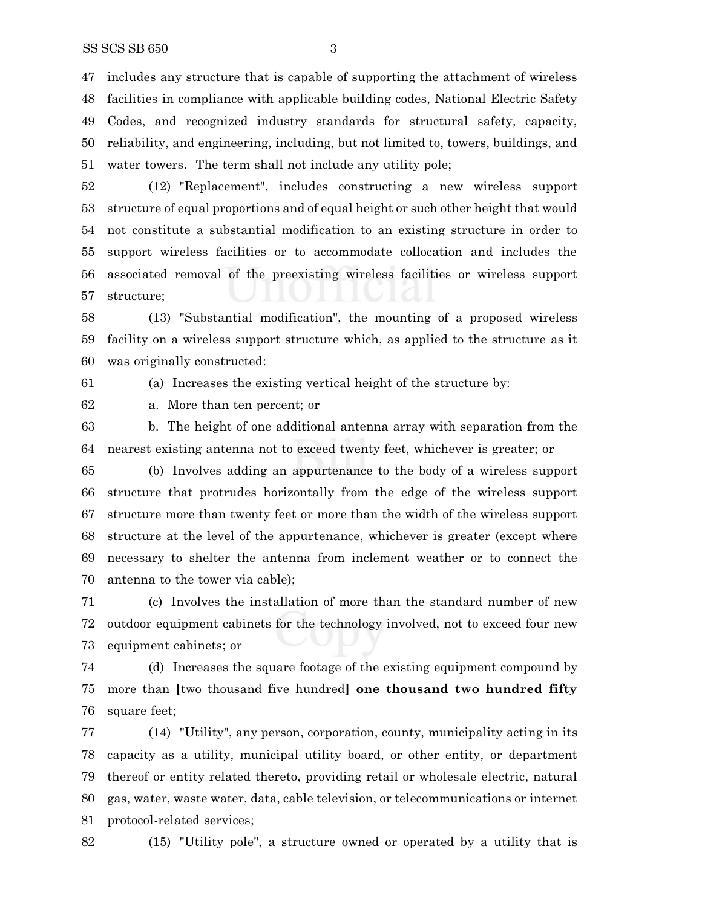includes any structure that is capable of supporting the attachment of wireless facilities in compliance with applicable building codes, National Electric Safety Codes, and recognized industry standards for structural safety, capacity, reliability, and engineering, including, but not limited to, towers, buildings, and water towers. The term shall not include any utility pole;

 (12) "Replacement", includes constructing a new wireless support structure of equal proportions and of equal height or such other height that would not constitute a substantial modification to an existing structure in order to support wireless facilities or to accommodate collocation and includes the associated removal of the preexisting wireless facilities or wireless support structure;

 (13) "Substantial modification", the mounting of a proposed wireless facility on a wireless support structure which, as applied to the structure as it was originally constructed:

(a) Increases the existing vertical height of the structure by:

a. More than ten percent; or

 b. The height of one additional antenna array with separation from the nearest existing antenna not to exceed twenty feet, whichever is greater; or

 (b) Involves adding an appurtenance to the body of a wireless support structure that protrudes horizontally from the edge of the wireless support structure more than twenty feet or more than the width of the wireless support structure at the level of the appurtenance, whichever is greater (except where necessary to shelter the antenna from inclement weather or to connect the antenna to the tower via cable);

 (c) Involves the installation of more than the standard number of new outdoor equipment cabinets for the technology involved, not to exceed four new equipment cabinets; or

 (d) Increases the square footage of the existing equipment compound by more than **[**two thousand five hundred**] one thousand two hundred fifty** square feet;

 (14) "Utility", any person, corporation, county, municipality acting in its capacity as a utility, municipal utility board, or other entity, or department thereof or entity related thereto, providing retail or wholesale electric, natural gas, water, waste water, data, cable television, or telecommunications or internet protocol-related services;

(15) "Utility pole", a structure owned or operated by a utility that is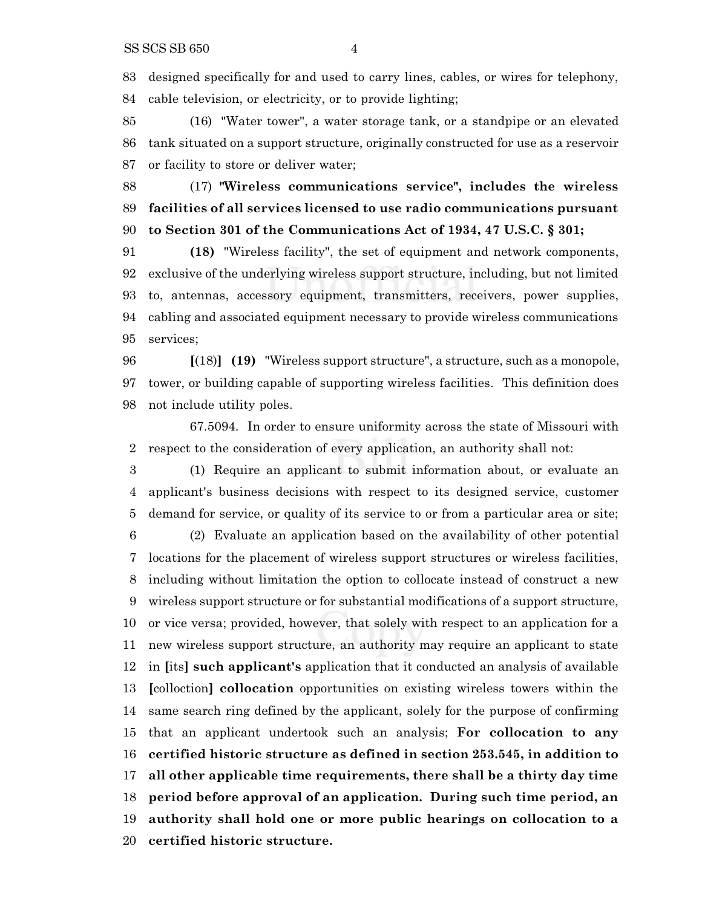designed specifically for and used to carry lines, cables, or wires for telephony, cable television, or electricity, or to provide lighting;

 (16) "Water tower", a water storage tank, or a standpipe or an elevated tank situated on a support structure, originally constructed for use as a reservoir or facility to store or deliver water;

 (17) **"Wireless communications service", includes the wireless facilities of all services licensed to use radio communications pursuant to Section 301 of the Communications Act of 1934, 47 U.S.C. § 301;**

 **(18)** "Wireless facility", the set of equipment and network components, exclusive of the underlying wireless support structure, including, but not limited to, antennas, accessory equipment, transmitters, receivers, power supplies, cabling and associated equipment necessary to provide wireless communications services;

 **[**(18)**] (19)** "Wireless support structure", a structure, such as a monopole, tower, or building capable of supporting wireless facilities. This definition does not include utility poles.

67.5094. In order to ensure uniformity across the state of Missouri with respect to the consideration of every application, an authority shall not:

 (1) Require an applicant to submit information about, or evaluate an applicant's business decisions with respect to its designed service, customer demand for service, or quality of its service to or from a particular area or site;

 (2) Evaluate an application based on the availability of other potential locations for the placement of wireless support structures or wireless facilities, including without limitation the option to collocate instead of construct a new wireless support structure or for substantial modifications of a support structure, or vice versa; provided, however, that solely with respect to an application for a new wireless support structure, an authority may require an applicant to state in **[**its**] such applicant's** application that it conducted an analysis of available **[**colloction**] collocation** opportunities on existing wireless towers within the same search ring defined by the applicant, solely for the purpose of confirming that an applicant undertook such an analysis; **For collocation to any certified historic structure as defined in section 253.545, in addition to all other applicable time requirements, there shall be a thirty day time period before approval of an application. During such time period, an authority shall hold one or more public hearings on collocation to a certified historic structure.**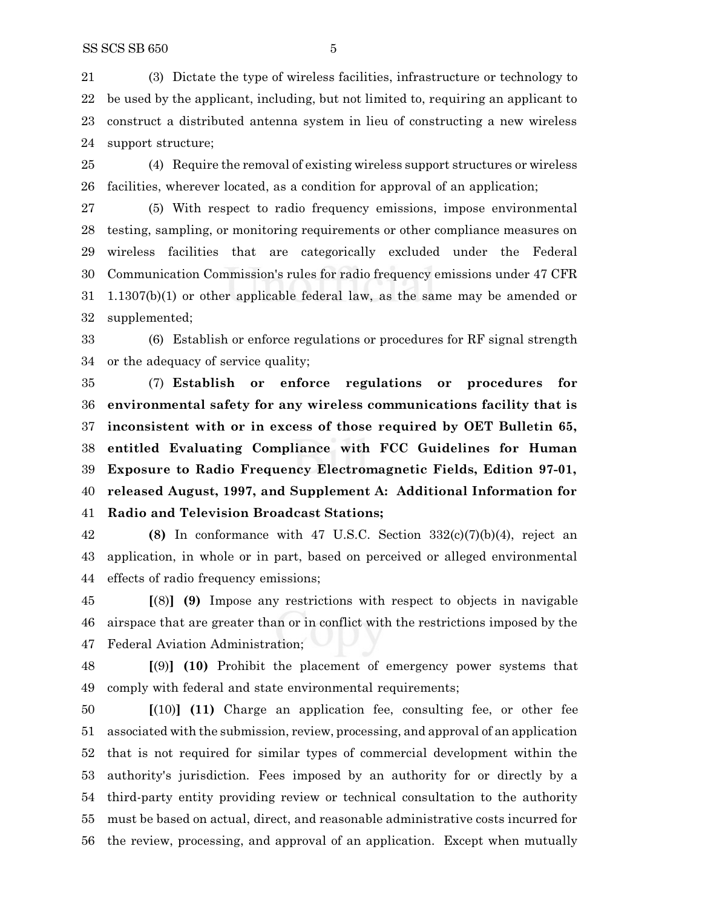(3) Dictate the type of wireless facilities, infrastructure or technology to be used by the applicant, including, but not limited to, requiring an applicant to construct a distributed antenna system in lieu of constructing a new wireless support structure;

 (4) Require the removal of existing wireless support structures or wireless facilities, wherever located, as a condition for approval of an application;

 (5) With respect to radio frequency emissions, impose environmental testing, sampling, or monitoring requirements or other compliance measures on wireless facilities that are categorically excluded under the Federal Communication Commission's rules for radio frequency emissions under 47 CFR 1.1307(b)(1) or other applicable federal law, as the same may be amended or supplemented;

 (6) Establish or enforce regulations or procedures for RF signal strength or the adequacy of service quality;

 (7) **Establish or enforce regulations or procedures for environmental safety for any wireless communications facility that is inconsistent with or in excess of those required by OET Bulletin 65, entitled Evaluating Compliance with FCC Guidelines for Human Exposure to Radio Frequency Electromagnetic Fields, Edition 97-01, released August, 1997, and Supplement A: Additional Information for Radio and Television Broadcast Stations;**

 **(8)** In conformance with 47 U.S.C. Section 332(c)(7)(b)(4), reject an application, in whole or in part, based on perceived or alleged environmental effects of radio frequency emissions;

 **[**(8)**] (9)** Impose any restrictions with respect to objects in navigable airspace that are greater than or in conflict with the restrictions imposed by the Federal Aviation Administration;

 **[**(9)**] (10)** Prohibit the placement of emergency power systems that comply with federal and state environmental requirements;

 **[**(10)**] (11)** Charge an application fee, consulting fee, or other fee associated with the submission, review, processing, and approval of an application that is not required for similar types of commercial development within the authority's jurisdiction. Fees imposed by an authority for or directly by a third-party entity providing review or technical consultation to the authority must be based on actual, direct, and reasonable administrative costs incurred for the review, processing, and approval of an application. Except when mutually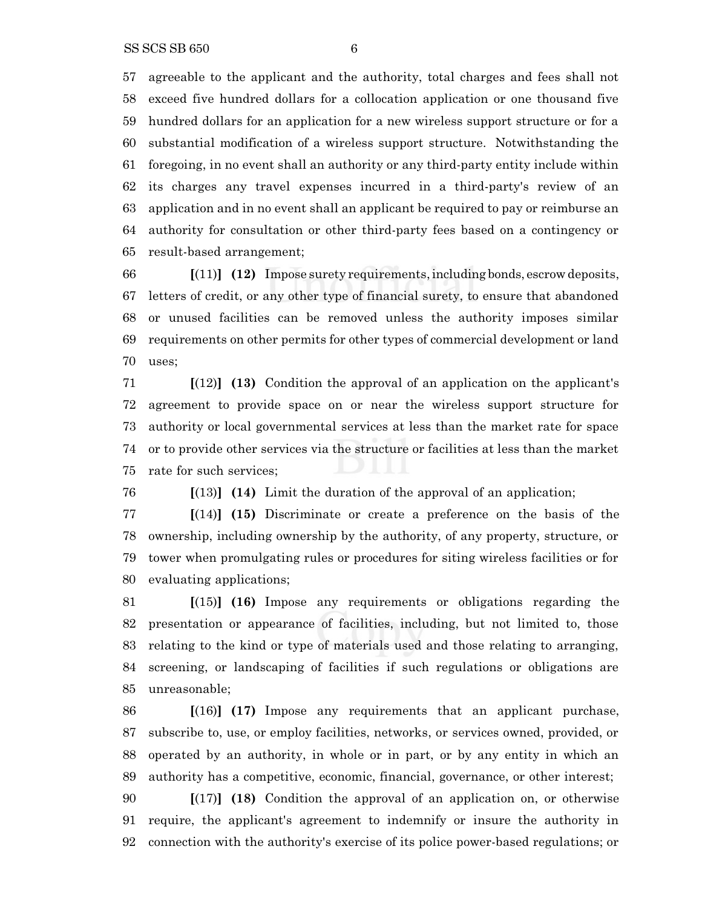agreeable to the applicant and the authority, total charges and fees shall not exceed five hundred dollars for a collocation application or one thousand five hundred dollars for an application for a new wireless support structure or for a substantial modification of a wireless support structure. Notwithstanding the foregoing, in no event shall an authority or any third-party entity include within its charges any travel expenses incurred in a third-party's review of an application and in no event shall an applicant be required to pay or reimburse an authority for consultation or other third-party fees based on a contingency or result-based arrangement;

 **[**(11)**] (12)** Impose surety requirements,including bonds, escrowdeposits, letters of credit, or any other type of financial surety, to ensure that abandoned or unused facilities can be removed unless the authority imposes similar requirements on other permits for other types of commercial development or land uses;

 **[**(12)**] (13)** Condition the approval of an application on the applicant's agreement to provide space on or near the wireless support structure for authority or local governmental services at less than the market rate for space or to provide other services via the structure or facilities at less than the market rate for such services;

**[**(13)**] (14)** Limit the duration of the approval of an application;

 **[**(14)**] (15)** Discriminate or create a preference on the basis of the ownership, including ownership by the authority, of any property, structure, or tower when promulgating rules or procedures for siting wireless facilities or for evaluating applications;

 **[**(15)**] (16)** Impose any requirements or obligations regarding the presentation or appearance of facilities, including, but not limited to, those relating to the kind or type of materials used and those relating to arranging, screening, or landscaping of facilities if such regulations or obligations are unreasonable;

 **[**(16)**] (17)** Impose any requirements that an applicant purchase, subscribe to, use, or employ facilities, networks, or services owned, provided, or operated by an authority, in whole or in part, or by any entity in which an authority has a competitive, economic, financial, governance, or other interest;

 **[**(17)**] (18)** Condition the approval of an application on, or otherwise require, the applicant's agreement to indemnify or insure the authority in connection with the authority's exercise of its police power-based regulations; or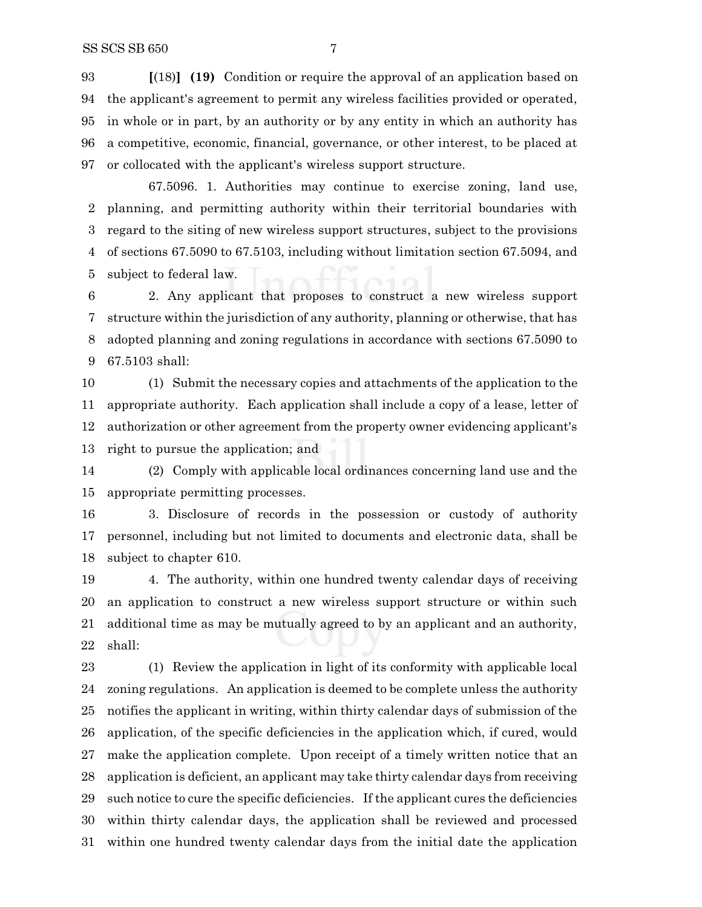**[**(18)**] (19)** Condition or require the approval of an application based on the applicant's agreement to permit any wireless facilities provided or operated, in whole or in part, by an authority or by any entity in which an authority has a competitive, economic, financial, governance, or other interest, to be placed at or collocated with the applicant's wireless support structure.

67.5096. 1. Authorities may continue to exercise zoning, land use, planning, and permitting authority within their territorial boundaries with regard to the siting of new wireless support structures, subject to the provisions of sections 67.5090 to 67.5103, including without limitation section 67.5094, and subject to federal law.

 2. Any applicant that proposes to construct a new wireless support structure within the jurisdiction of any authority, planning or otherwise, that has adopted planning and zoning regulations in accordance with sections 67.5090 to 67.5103 shall:

 (1) Submit the necessary copies and attachments of the application to the appropriate authority. Each application shall include a copy of a lease, letter of authorization or other agreement from the property owner evidencing applicant's right to pursue the application; and

 (2) Comply with applicable local ordinances concerning land use and the appropriate permitting processes.

 3. Disclosure of records in the possession or custody of authority personnel, including but not limited to documents and electronic data, shall be subject to chapter 610.

 4. The authority, within one hundred twenty calendar days of receiving an application to construct a new wireless support structure or within such additional time as may be mutually agreed to by an applicant and an authority, shall:

 (1) Review the application in light of its conformity with applicable local zoning regulations. An application is deemed to be complete unless the authority notifies the applicant in writing, within thirty calendar days of submission of the application, of the specific deficiencies in the application which, if cured, would make the application complete. Upon receipt of a timely written notice that an application is deficient, an applicant may take thirty calendar days from receiving such notice to cure the specific deficiencies. If the applicant cures the deficiencies within thirty calendar days, the application shall be reviewed and processed within one hundred twenty calendar days from the initial date the application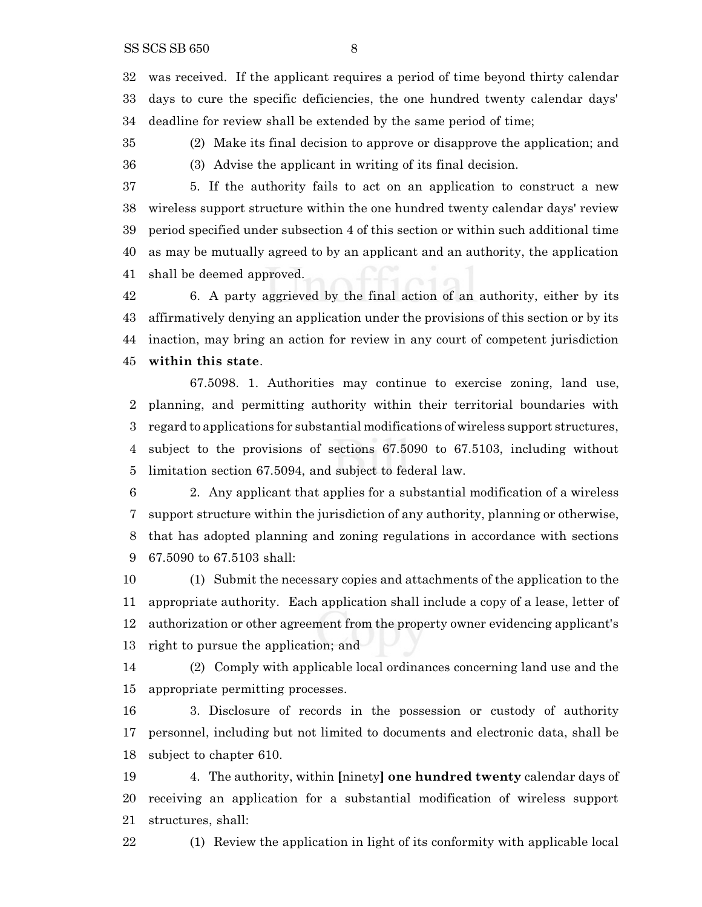was received. If the applicant requires a period of time beyond thirty calendar days to cure the specific deficiencies, the one hundred twenty calendar days' deadline for review shall be extended by the same period of time;

 (2) Make its final decision to approve or disapprove the application; and (3) Advise the applicant in writing of its final decision.

 5. If the authority fails to act on an application to construct a new wireless support structure within the one hundred twenty calendar days' review period specified under subsection 4 of this section or within such additional time as may be mutually agreed to by an applicant and an authority, the application shall be deemed approved.

 6. A party aggrieved by the final action of an authority, either by its affirmatively denying an application under the provisions of this section or by its inaction, may bring an action for review in any court of competent jurisdiction **within this state**.

67.5098. 1. Authorities may continue to exercise zoning, land use, planning, and permitting authority within their territorial boundaries with regard to applications for substantial modifications of wireless support structures, subject to the provisions of sections 67.5090 to 67.5103, including without limitation section 67.5094, and subject to federal law.

 2. Any applicant that applies for a substantial modification of a wireless support structure within the jurisdiction of any authority, planning or otherwise, that has adopted planning and zoning regulations in accordance with sections 67.5090 to 67.5103 shall:

 (1) Submit the necessary copies and attachments of the application to the appropriate authority. Each application shall include a copy of a lease, letter of authorization or other agreement from the property owner evidencing applicant's right to pursue the application; and

 (2) Comply with applicable local ordinances concerning land use and the appropriate permitting processes.

 3. Disclosure of records in the possession or custody of authority personnel, including but not limited to documents and electronic data, shall be subject to chapter 610.

 4. The authority, within **[**ninety**] one hundred twenty** calendar days of receiving an application for a substantial modification of wireless support structures, shall:

(1) Review the application in light of its conformity with applicable local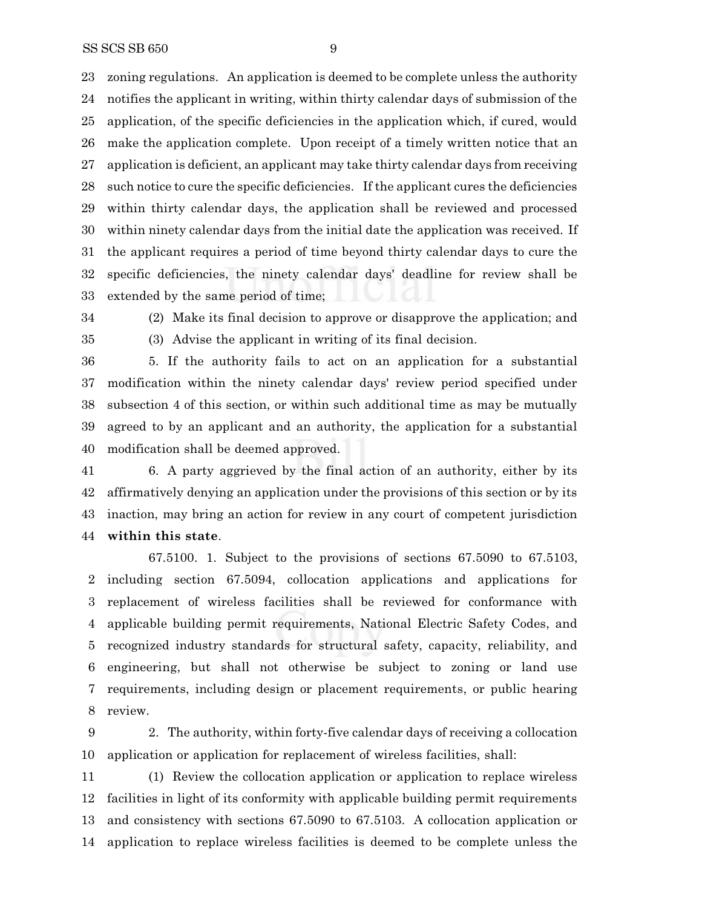zoning regulations. An application is deemed to be complete unless the authority notifies the applicant in writing, within thirty calendar days of submission of the application, of the specific deficiencies in the application which, if cured, would make the application complete. Upon receipt of a timely written notice that an application is deficient, an applicant may take thirty calendar days from receiving such notice to cure the specific deficiencies. If the applicant cures the deficiencies within thirty calendar days, the application shall be reviewed and processed within ninety calendar days from the initial date the application was received. If the applicant requires a period of time beyond thirty calendar days to cure the specific deficiencies, the ninety calendar days' deadline for review shall be extended by the same period of time;

- 
- 

 (2) Make its final decision to approve or disapprove the application; and (3) Advise the applicant in writing of its final decision.

 5. If the authority fails to act on an application for a substantial modification within the ninety calendar days' review period specified under subsection 4 of this section, or within such additional time as may be mutually agreed to by an applicant and an authority, the application for a substantial modification shall be deemed approved.

 6. A party aggrieved by the final action of an authority, either by its affirmatively denying an application under the provisions of this section or by its inaction, may bring an action for review in any court of competent jurisdiction **within this state**.

67.5100. 1. Subject to the provisions of sections 67.5090 to 67.5103, including section 67.5094, collocation applications and applications for replacement of wireless facilities shall be reviewed for conformance with applicable building permit requirements, National Electric Safety Codes, and recognized industry standards for structural safety, capacity, reliability, and engineering, but shall not otherwise be subject to zoning or land use requirements, including design or placement requirements, or public hearing review.

 2. The authority, within forty-five calendar days of receiving a collocation application or application for replacement of wireless facilities, shall:

 (1) Review the collocation application or application to replace wireless facilities in light of its conformity with applicable building permit requirements and consistency with sections 67.5090 to 67.5103. A collocation application or application to replace wireless facilities is deemed to be complete unless the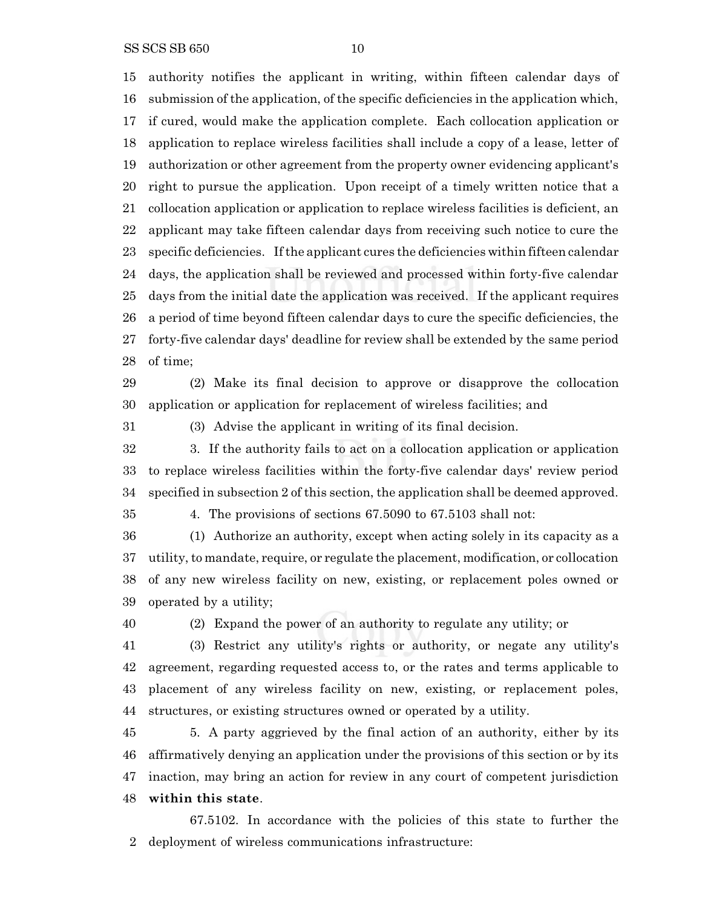SS SCS SB 650 10

authority notifies the applicant in writing, within fifteen calendar days of

 submission of the application, of the specific deficiencies in the application which, if cured, would make the application complete. Each collocation application or application to replace wireless facilities shall include a copy of a lease, letter of authorization or other agreement from the property owner evidencing applicant's right to pursue the application. Upon receipt of a timely written notice that a collocation application or application to replace wireless facilities is deficient, an applicant may take fifteen calendar days from receiving such notice to cure the specific deficiencies. Ifthe applicant cures the deficiencies within fifteen calendar days, the application shall be reviewed and processed within forty-five calendar days from the initial date the application was received. If the applicant requires a period of time beyond fifteen calendar days to cure the specific deficiencies, the forty-five calendar days' deadline for review shall be extended by the same period of time;

 (2) Make its final decision to approve or disapprove the collocation application or application for replacement of wireless facilities; and

(3) Advise the applicant in writing of its final decision.

 3. If the authority fails to act on a collocation application or application to replace wireless facilities within the forty-five calendar days' review period specified in subsection 2 of this section, the application shall be deemed approved.

4. The provisions of sections 67.5090 to 67.5103 shall not:

 (1) Authorize an authority, except when acting solely in its capacity as a utility, to mandate, require, or regulate the placement, modification, or collocation of any new wireless facility on new, existing, or replacement poles owned or operated by a utility;

(2) Expand the power of an authority to regulate any utility; or

 (3) Restrict any utility's rights or authority, or negate any utility's agreement, regarding requested access to, or the rates and terms applicable to placement of any wireless facility on new, existing, or replacement poles, structures, or existing structures owned or operated by a utility.

 5. A party aggrieved by the final action of an authority, either by its affirmatively denying an application under the provisions of this section or by its inaction, may bring an action for review in any court of competent jurisdiction **within this state**.

67.5102. In accordance with the policies of this state to further the deployment of wireless communications infrastructure: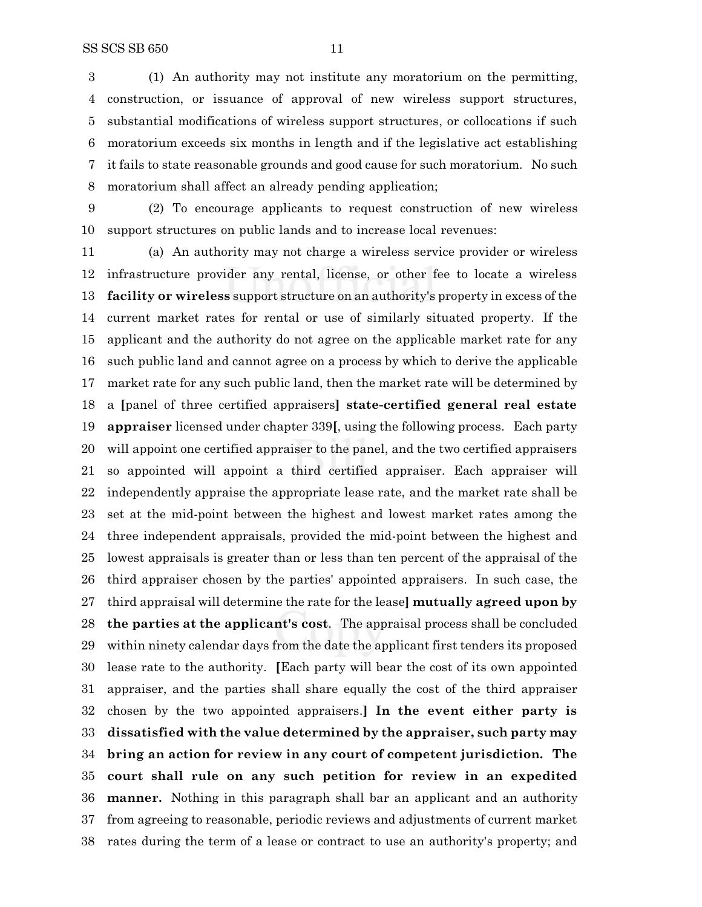(1) An authority may not institute any moratorium on the permitting, construction, or issuance of approval of new wireless support structures, substantial modifications of wireless support structures, or collocations if such moratorium exceeds six months in length and if the legislative act establishing

 it fails to state reasonable grounds and good cause for such moratorium. No such moratorium shall affect an already pending application;

 (2) To encourage applicants to request construction of new wireless support structures on public lands and to increase local revenues:

 (a) An authority may not charge a wireless service provider or wireless infrastructure provider any rental, license, or other fee to locate a wireless **facility or wireless** support structure on an authority's property in excess of the current market rates for rental or use of similarly situated property. If the applicant and the authority do not agree on the applicable market rate for any such public land and cannot agree on a process by which to derive the applicable market rate for any such public land, then the market rate will be determined by a **[**panel of three certified appraisers**] state-certified general real estate appraiser** licensed under chapter 339**[**, using the following process. Each party will appoint one certified appraiser to the panel, and the two certified appraisers so appointed will appoint a third certified appraiser. Each appraiser will independently appraise the appropriate lease rate, and the market rate shall be set at the mid-point between the highest and lowest market rates among the three independent appraisals, provided the mid-point between the highest and lowest appraisals is greater than or less than ten percent of the appraisal of the third appraiser chosen by the parties' appointed appraisers. In such case, the third appraisal will determine the rate for the lease**] mutually agreed upon by the parties at the applicant's cost**. The appraisal process shall be concluded within ninety calendar days from the date the applicant first tenders its proposed lease rate to the authority. **[**Each party will bear the cost of its own appointed appraiser, and the parties shall share equally the cost of the third appraiser chosen by the two appointed appraisers.**] In the event either party is dissatisfied with the value determined by the appraiser, such party may bring an action for review in any court of competent jurisdiction. The court shall rule on any such petition for review in an expedited manner.** Nothing in this paragraph shall bar an applicant and an authority from agreeing to reasonable, periodic reviews and adjustments of current market rates during the term of a lease or contract to use an authority's property; and